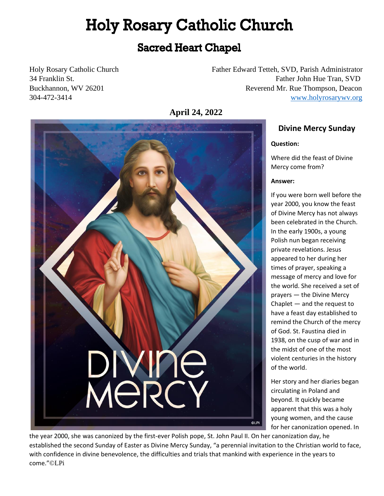## **Holy Rosary Catholic Church**

### **Sacred Heart Chapel**

Holy Rosary Catholic Church Father Edward Tetteh, SVD, Parish Administrator 34 Franklin St. Father John Hue Tran, SVD Buckhannon, WV 26201 **Reverend Mr. Rue Thompson, Deacon** 304-472-3414 [www.holyrosarywv.org](http://www.holyrosarywv.org/)

**April 24, 2022**



### **Divine Mercy Sunday**

### **Question:**

Where did the feast of Divine Mercy come from?

### **Answer:**

If you were born well before the year 2000, you know the feast of Divine Mercy has not always been celebrated in the Church. In the early 1900s, a young Polish nun began receiving private revelations. Jesus appeared to her during her times of prayer, speaking a message of mercy and love for the world. She received a set of prayers — the Divine Mercy Chaplet — and the request to have a feast day established to remind the Church of the mercy of God. St. Faustina died in 1938, on the cusp of war and in the midst of one of the most violent centuries in the history of the world.

Her story and her diaries began circulating in Poland and beyond. It quickly became apparent that this was a holy young women, and the cause for her canonization opened. In

the year 2000, she was canonized by the first-ever Polish pope, St. John Paul II. On her canonization day, he established the second Sunday of Easter as Divine Mercy Sunday, "a perennial invitation to the Christian world to face, with confidence in divine benevolence, the difficulties and trials that mankind with experience in the years to come."©LPi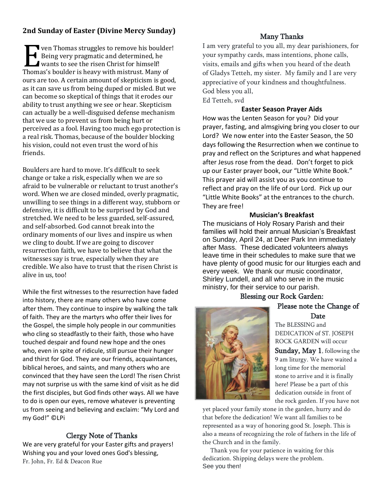### **2nd Sunday of Easter (Divine Mercy Sunday)**

**Ven Thomas struggles to remove his boulder!** Being very pragmatic and determined, he Ven Thomas struggles to remove his boulting the risen Christ for himself!<br>
Wants to see the risen Christ for himself!<br>
Thomas's boulder is bouw with mistrust Many Thomas's boulder is heavy with mistrust. Many of ours are too. A certain amount of skepticism is good, as it can save us from being duped or misled. But we can become so skeptical of things that it erodes our ability to trust anything we see or hear. Skepticism can actually be a well-disguised defense mechanism that we use to prevent us from being hurt or perceived as a fool. Having too much ego protection is a real risk. Thomas, because of the boulder blocking his vision, could not even trust the word of his friends.

Boulders are hard to move. It's difficult to seek change or take a risk, especially when we are so afraid to be vulnerable or reluctant to trust another's word. When we are closed minded, overly pragmatic, unwilling to see things in a different way, stubborn or defensive, it is difficult to be surprised by God and stretched. We need to be less guarded, self-assured, and self-absorbed. God cannot break into the ordinary moments of our lives and inspire us when we cling to doubt. If we are going to discover resurrection faith, we have to believe that what the witnesses say is true, especially when they are credible. We also have to trust that the risen Christ is alive in us, too!

While the first witnesses to the resurrection have faded into history, there are many others who have come after them. They continue to inspire by walking the talk of faith. They are the martyrs who offer their lives for the Gospel, the simple holy people in our communities who cling so steadfastly to their faith, those who have touched despair and found new hope and the ones who, even in spite of ridicule, still pursue their hunger and thirst for God. They are our friends, acquaintances, biblical heroes, and saints, and many others who are convinced that they have seen the Lord! The risen Christ may not surprise us with the same kind of visit as he did the first disciples, but God finds other ways. All we have to do is open our eyes, remove whatever is preventing us from seeing and believing and exclaim: "My Lord and my God!" ©LPi

### Clergy Note of Thanks

We are very grateful for your Easter gifts and prayers! Wishing you and your loved ones God's blessing, Fr. John, Fr. Ed & Deacon Rue

### Many Thanks

I am very grateful to you all, my dear parishioners, for your sympathy cards, mass intentions, phone calls, visits, emails and gifts when you heard of the death of Gladys Tetteh, my sister. My family and I are very appreciative of your kindness and thoughtfulness. God bless you all, Ed Tetteh, svd

### **Easter Season Prayer Aids**

How was the Lenten Season for you? Did your prayer, fasting, and almsgiving bring you closer to our Lord? We now enter into the Easter Season, the 50 days following the Resurrection when we continue to pray and reflect on the Scriptures and what happened after Jesus rose from the dead. Don't forget to pick up our Easter prayer book, our "Little White Book." This prayer aid will assist you as you continue to reflect and pray on the life of our Lord. Pick up our "Little White Books" at the entrances to the church. They are free!

### **Musician's Breakfast**

The musicians of Holy Rosary Parish and their families will hold their annual Musician's Breakfast on Sunday, April 24, at Deer Park Inn immediately after Mass. These dedicated volunteers always leave time in their schedules to make sure that we have plenty of good music for our liturgies each and every week. We thank our music coordinator, Shirley Lundell, and all who serve in the music ministry, for their service to our parish.

### Blessing our Rock Garden:



Please note the Change of Date

The BLESSING and DEDICATION of ST. JOSEPH ROCK GARDEN will occur

Sunday, May 1, following the 9 am liturgy. We have waited a long time for the memorial stone to arrive and it is finally here! Please be a part of this dedication outside in front of the rock garden. If you have not

yet placed your family stone in the garden, hurry and do that before the dedication! We want all families to be represented as a way of honoring good St. Joseph. This is also a means of recognizing the role of fathers in the life of the Church and in the family.

 Thank you for your patience in waiting for this dedication. Shipping delays were the problem. See you then!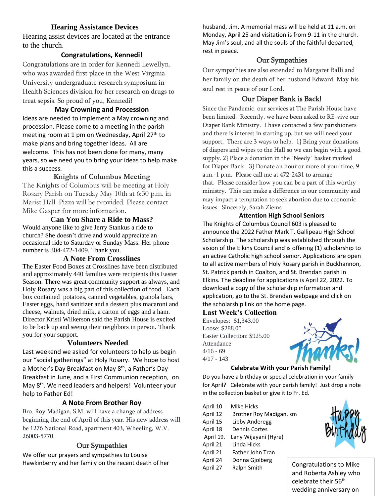### **Hearing Assistance Devices**

Hearing assist devices are located at the entrance to the church.

### **Congratulations, Kennedi!**

Congratulations are in order for Kennedi Lewellyn, who was awarded first place in the West Virginia University undergraduate research symposium in Health Sciences division for her research on drugs to treat sepsis. So proud of you, Kennedi!

**May Crowning and Procession** Ideas are needed to implement a May crowning and procession. Please come to a meeting in the parish meeting room at 1 pm on Wednesday, April 27<sup>th</sup> to make plans and bring together ideas. All are welcome. This has not been done for many, many years, so we need you to bring your ideas to help make this a success.

### **Knights of Columbus Meeting**

The Knights of Columbus will be meeting at Holy Rosary Parish on Tuesday May 10th at 6:30 p.m. in Marist Hall. Pizza will be provided. Please contact Mike Gasper for more information.

### **Can You Share a Ride to Mass?** Would anyone like to give Jerry Stankus a ride to church? She doesn't drive and would appreciate an occasional ride to Saturday or Sunday Mass. Her phone

number is 304-472-1409. Thank you. **A Note From Crosslines**

The Easter Food Boxes at Crosslines have been distributed and approximately 440 families were recipients this Easter Season. There was great community support as always, and Holy Rosary was a big part of this collection of food. Each box contained potatoes, canned vegetables, granola bars, Easter eggs, hand sanitizer and a dessert plus macaroni and cheese, walnuts, dried milk, a carton of eggs and a ham. Director Kristi Wilkerson said the Parish House is excited to be back up and seeing their neighbors in person. Thank you for your support.

### **Volunteers Needed**

Last weekend we asked for volunteers to help us begin our "social gatherings" at Holy Rosary. We hope to host a Mother's Day Breakfast on May 8<sup>th</sup>, a Father's Day Breakfast in June, and a First Communion reception, on May 8<sup>th</sup>. We need leaders and helpers! Volunteer your help to Father Ed!

### **A Note From Brother Roy**

Bro. Roy Madigan, S.M. will have a change of address beginning the end of April of this year. His new address will be 1276 National Road, apartment 403, Wheeling, W.V. 26003-5770.

### Our Sympathies

We offer our prayers and sympathies to Louise Hawkinberry and her family on the recent death of her husband, Jim. A memorial mass will be held at 11 a.m. on Monday, April 25 and visitation is from 9-11 in the church. May Jim's soul, and all the souls of the faithful departed, rest in peace.

### Our Sympathies

Our sympathies are also extended to Margaret Balli and her family on the death of her husband Edward. May his soul rest in peace of our Lord.

### Our Diaper Bank is Back!

Since the Pandemic, our services at The Parish House have been limited. Recently, we have been asked to RE-vive our Diaper Bank Ministry. I have contacted a few parishioners and there is interest in starting up, but we will need your support. There are 3 ways to help. 1} Bring your donations of diapers and wipes to the Hall so we can begin with a good supply. 2} Place a donation in the "Needy" basket marked for Diaper Bank. 3} Donate an hour or more of your time, 9 a.m.-1 p.m. Please call me at 472-2431 to arrange that. Please consider how you can be a part of this worthy ministry. This can make a difference in our community and may impact a temptation to seek abortion due to economic issues. Sincerely, Sarah Ziems

### **Attention High School Seniors**

The Knights of Columbus Council 603 is pleased to announce the 2022 Father Mark T. Gallipeau High School Scholarship. The scholarship was established through the vision of the Elkins Council and is offering (1) scholarship to an active Catholic high school senior. Applications are open to all active members of Holy Rosary parish in Buckhannon, St. Patrick parish in Coalton, and St. Brendan parish in Elkins. The deadline for applications is April 22, 2022. To download a copy of the scholarship information and application, go to the St. Brendan webpage and click on the scholarship link on the home page.

### **Last Week's Collection**

Envelopes: \$1,343.00 Loose: \$288.00 Easter Collection: \$925.00 Attendance  $4/16 - 69$ 4/17 - 143



### **Celebrate With your Parish Family!**

Do you have a birthday or special celebration in your family for April? Celebrate with your parish family! Just drop a note in the collection basket or give it to Fr. Ed.

| April 10  | Mike Hicks              |  |  |
|-----------|-------------------------|--|--|
| April 12  | Brother Roy Madigan, sm |  |  |
| April 15  | Libby Anderegg          |  |  |
| April 18  | <b>Dennis Cortes</b>    |  |  |
| April 19. | Lany Wijayani (Hyre)    |  |  |
| April 21  | Linda Hicks             |  |  |
| April 21  | <b>Father John Tran</b> |  |  |
| April 24  | Donna Gjolberg          |  |  |
| April 27  | Ralph Smith             |  |  |



ngratulations to Mike and Roberta Ashley who celebrate their 56th wedding anniversary on April 23. Best wishes to be a straight for the straight straight for the straight straight for the straight str